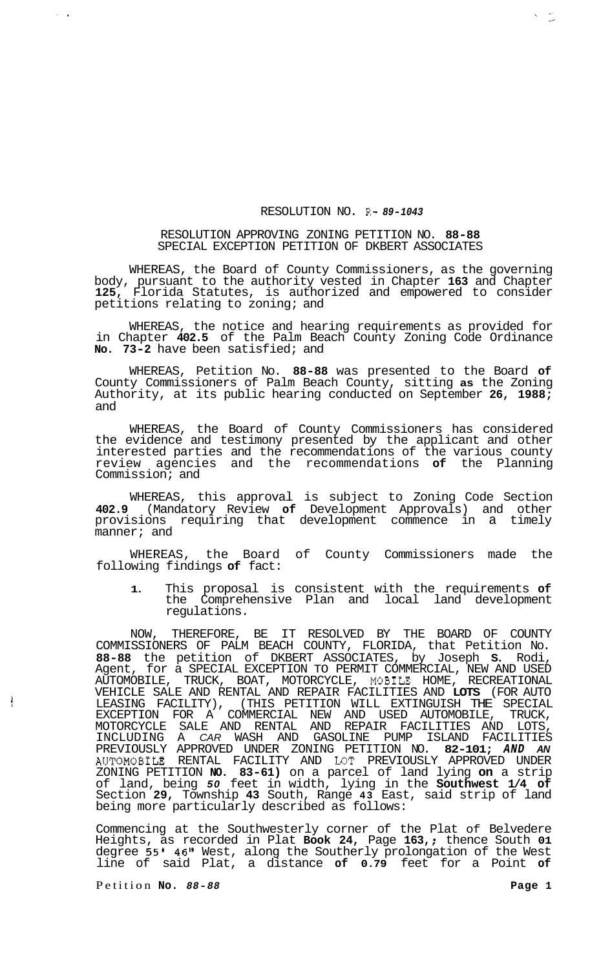## RESOLUTION NO. R- *89-1043*

## RESOLUTION APPROVING ZONING PETITION NO. **88-88**  SPECIAL EXCEPTION PETITION OF DKBERT ASSOCIATES

WHEREAS, the Board of County Commissioners, as the governing body, pursuant to the authority vested in Chapter **163** and Chapter **125,** Florida Statutes, is authorized and empowered to consider petitions relating to zoning; and

WHEREAS, the notice and hearing requirements as provided for in Chapter **402.5** of the Palm Beach County Zoning Code Ordinance **No. 73-2** have been satisfied; and

WHEREAS, Petition No. **88-88** was presented to the Board **of**  County Commissioners of Palm Beach County, sitting **as** the Zoning Authority, at its public hearing conducted on September **26, 1988;**  and

WHEREAS, the Board of County Commissioners has considered the evidence and testimony presented by the applicant and other interested parties and the recommendations of the various county review agencies and the recommendations **of** the Planning Commission; and

WHEREAS, this approval is subject to Zoning Code Section **402.9** (Mandatory Review **of** Development Approvals) and other provisions requiring that development commence in a timely manner; and

WHEREAS, the Board of County Commissioners made the following findings **of** fact:

**1.** This proposal is consistent with the requirements **of**  the Comprehensive Plan and local land development regulations.

NOW, THEREFORE, BE IT RESOLVED BY THE BOARD OF COUNTY COMMISSIONERS OF PALM BEACH COUNTY, FLORIDA, that Petition No. **88-88** the petition of DKBERT ASSOCIATES, by Joseph **S.** Rodi, Agent, for a SPECIAL EXCEPTION TO PERMIT COMMERCIAL, NEW AND USED AUTOMOBILE, TRUCK, BOAT, MOTORCYCLE, MOBIUE HOME, RECREATIONAL VEHICLE SALE AND RENTAL AND REPAIR FACILITIES AND **LOTS** (FOR AUTO LEASING FACILITY), (THIS PETITION WILL EXTINGUISH THE SPECIAL EXCEPTION FOR A COMMERCIAL NEW AND USED AUTOMOBILE, TRUCK, MOTORCYCLE SALE AND RENTAL AND REPAIR FACILITIES AND LOTS, INCLUDING A *CAR* WASH AND GASOLINE PUMP ISLAND FACILITIES PREVIOUSLY APPROVED UNDER ZONING PETITION NO. **82-101;** *AND AN*  AUTOMOBILE RENTAL FACILITY AND LOT PREVIOUSLY APPROVED UNDER ZONING PETITION **NO. 83-61)** on a parcel of land lying **on** a strip of land, being *50* feet in width, lying in the **Southwest 1/4 of**  Section **29,** Township **43** South, Range **43** East, said strip of land being more particularly described as follows:

Commencing at the Southwesterly corner of the Plat of Belvedere Commencing at the Southwesterly corner of the Plat of Belvedere<br>Heights, as recorded in Plat Book 24, Page 163,; thence South 01 degree **55' 46"** West, along the Southerly prolongation of the West line of said Plat, a distance **of 0.79** feet for a Point **of** 

Petition **No.** *88-88* **Page 1** 

 $\frac{1}{2}$ 

 $\lambda = 1/2$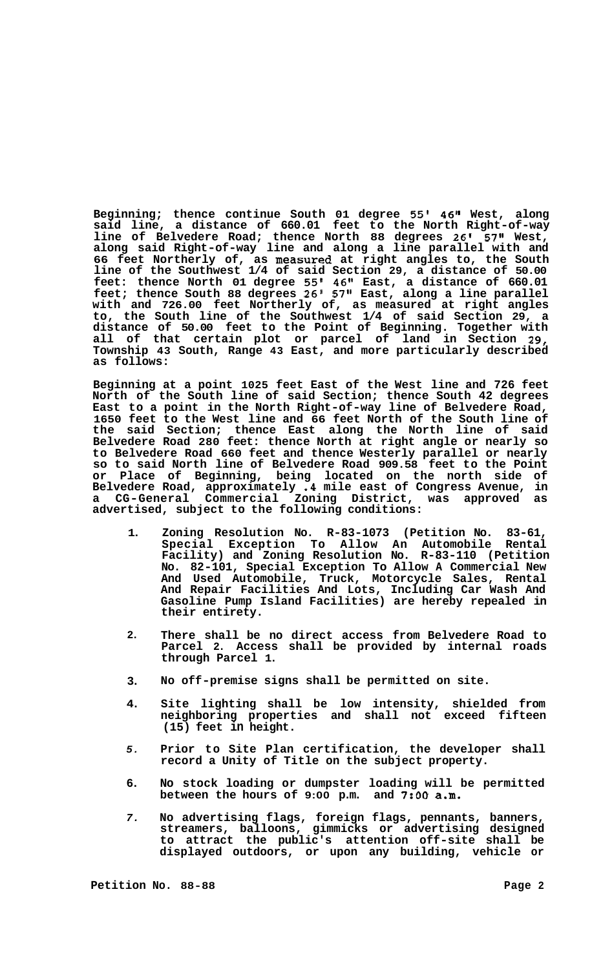**Beginning; thence continue South 01 degree 55' 46" West, along said line, a distance of 660.01 feet to the North Right-of-way line of Belvedere Road; thence North 88 degrees 26' 57" West, along said Right-of-way line and along a line parallel with and 66 feet Northerly of, as measured at right angles to, the South line of the Southwest 1/4 of said Section 29, a distance of 50.00 feet: thence North 01 degree 55' 46" East, a distance of 660.01 feet; thence South 88 degrees 26' 57" East, along a line parallel with and 726.00 feet Northerly of, as measured at right angles to, the South line of the Southwest 1/4 of said Section 29, a distance of 50.00 feet to the Point of Beginning. Together with all of that certain plot or parcel of land in Section 29, Township 43 South, Range 43 East, and more particularly described as follows:** 

**Beginning at a point 1025 feet East of the West line and 726 feet North of the South line of said Section; thence South 42 degrees East to a point in the North Right-of-way line of Belvedere Road, 1650 feet to the West line and 66 feet North of the South line of the said Section; thence East along the North line of said Belvedere Road 280 feet: thence North at right angle or nearly so to Belvedere Road 660 feet and thence Westerly parallel or nearly so to said North line of Belvedere Road 909.58 feet to the Point or Place of Beginning, being located on the north side of Belvedere Road, approximately .4 mile east of Congress Avenue, in a CG-General Commercial Zoning District, was approved as advertised, subject to the following conditions:** 

- **1. Zoning Resolution No. R-83-1073 (Petition No. 83-61, Special Exception To Allow An Automobile Rental Facility) and Zoning Resolution No. R-83-110 (Petition No. 82-101, Special Exception To Allow A Commercial New And Used Automobile, Truck, Motorcycle Sales, Rental And Repair Facilities And Lots, Including Car Wash And Gasoline Pump Island Facilities) are hereby repealed in their entirety.**
- **2. There shall be no direct access from Belvedere Road to Parcel 2. Access shall be provided by internal roads through Parcel 1.**
- **3. No off-premise signs shall be permitted on site.**
- **4. Site lighting shall be low intensity, shielded from neighboring properties and shall not exceed fifteen (15) feet in height.**
- *5.*  **Prior to Site Plan certification, the developer shall record a Unity of Title on the subject property.**
- **6. No stock loading or dumpster loading will be permitted between the hours of 9:00 p.m. and 7:OO a.m.**
- *7.*  **No advertising flags, foreign flags, pennants, banners, streamers, balloons, gimmicks or advertising designed to attract the public's attention off-site shall be displayed outdoors, or upon any building, vehicle or**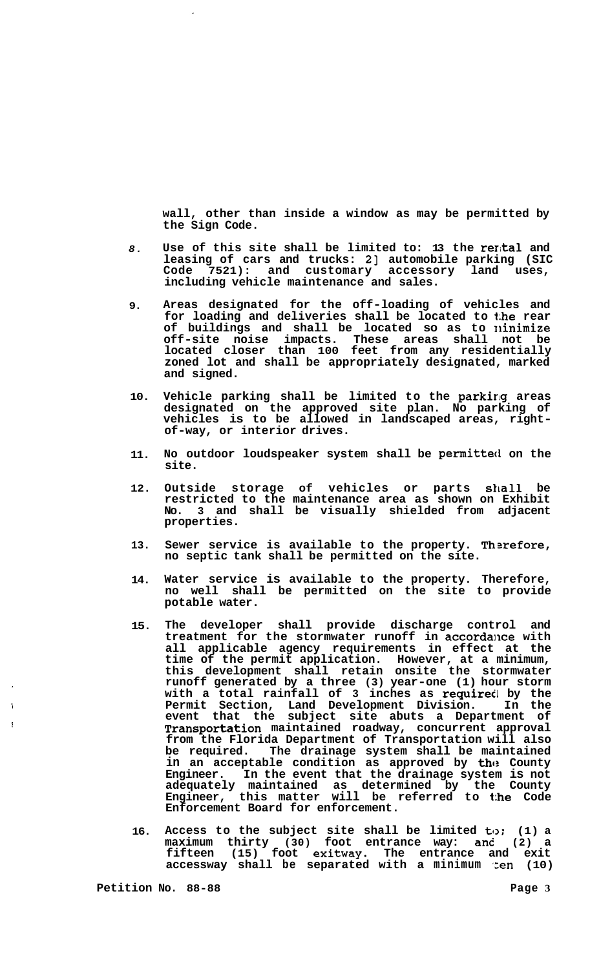**wall, other than inside a window as may be permitted by the Sign Code.** 

- *8.*  **Use of this site shall be limited to: 13 the rerkal and**  leasing of cars and trucks: 2] automobile parking (SIC **Code 7521): and customary accessory land uses, including vehicle maintenance and sales.**
- **9. Areas designated for the off-loading of vehicles and for loading and deliveries shall be located to the rear of buildings and shall be located so as to ninimize off-site noise impacts. These areas shall not be located closer than 100 feet from any residentially zoned lot and shall be appropriately designated, marked and signed.**
- **10. Vehicle parking shall be limited to the parking areas designated on the approved site plan. No parking of vehicles is to be allowed in landscaped areas, right- of-way, or interior drives.**
- **11. No outdoor loudspeaker system shall be permitted on the site.**
- **12. Outside storage of vehicles or parts shall be restricted to the maintenance area as shown on Exhibit No. 3 and shall be visually shielded from adjacent properties.**
- **13.**  Sewer service is available to the property. Therefore, **no septic tank shall be permitted on the site.**
- **14. Water service is available to the property. Therefore, no well shall be permitted on the site to provide potable water.**
- **15. The developer shall provide discharge control and**  treatment for the stormwater runoff in accordance with **all applicable agency requirements in effect at the time of the permit application. However, at a minimum, this development shall retain onsite the stormwater runoff generated by a three (3) year-one (1) hour storm with a total rainfall of 3 inches as required by the Permit Section, Land Development Division. In the event that the subject site abuts a Department of Transportation maintained roadway, concurrent approval from the Florida Department of Transportation will also be required. The drainage system shall be maintained in an acceptable condition as approved by the County Engineer. In the event that the drainage system is not adequately maintained as determined by the County Engineer, this matter will be referred to the Code Enforcement Board for enforcement.**
- **16. Access to the subject site shall be limited to: (1) a maximum thirty (30) foot entrance way: and (2) a fifteen (15) foot exitway. The entrance and exit accessway shall be separated with a minimum ':en (10)**

i<br>1

i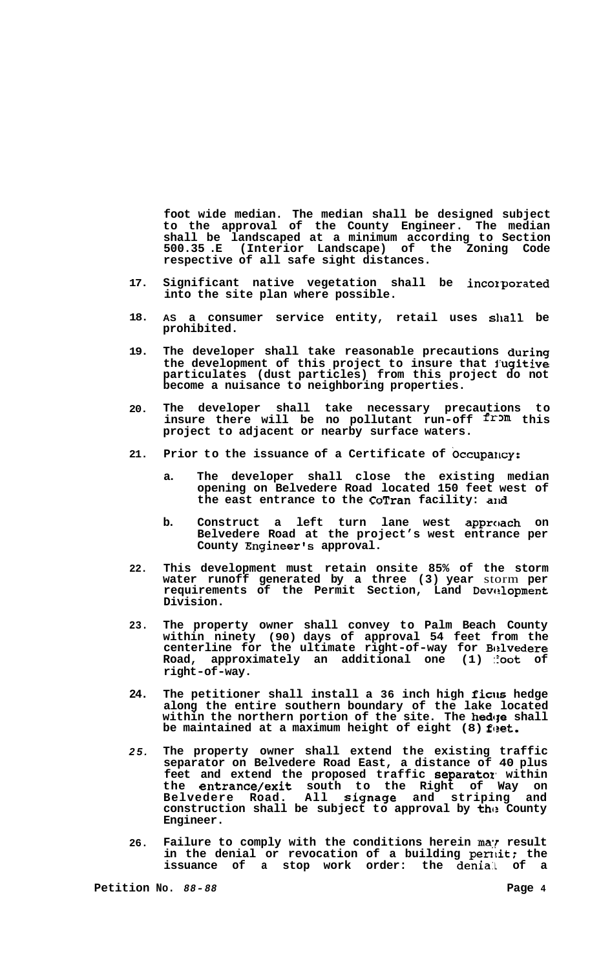**foot wide median. The median shall be designed subject to the approval of the County Engineer. The median shall be landscaped at a minimum according to Section 500.35 .E (Interior Landscape) of the Zoning Code respective of all safe sight distances.** 

- **17.**  Significant native vegetation shall be incorporated **into the site plan where possible.**
- **18. AS a consumer service entity, retail uses slkall be prohibited.**
- **19. The developer shall take reasonable precautions during the development of this project to insure that i'ugitive particulates (dust particles) from this project do not become a nuisance to neighboring properties.**
- **20. The developer shall take necessary precautions to**  insure there will be no pollutant run-off from this **project to adjacent or nearby surface waters.**
- **21.**  Prior to the issuance of a Certificate of Occupancy:
	- **a. The developer shall close the existing median opening on Belvedere Road located 150 feet west of**  the east entrance to the CoTran facility: and
	- b. Construct a left turn lane west approach on **Belvedere Road at the project's west entrance per County Engineer's approval.**
- **22. This development must retain onsite 85% of the storm water runoff generated by a three (3) year** storm **per**  requirements of the Permit Section, Land Development **Division.**
- **23. The property owner shall convey to Palm Beach County within ninety (90) days of approval 54 feet from the**  centerline for the ultimate right-of-way for Belvedere Road, approximately an additional one (1) :**foot** of **right-of-way.**
- **24. The petitioner shall install a 36 inch high ficlts hedge along the entire southern boundary of the lake located**  within the northern portion of the site. The hedge shall be maintained at a maximum height of eight (8) feet.
- *25.*  **The property owner shall extend the existing traffic separator on Belvedere Road East, a distance of 40 plus feet and extend the proposed traffic separatoz, within the entrance/exit south to the Right of Way on Belvedere Road. All signage and striping and construction shall be subject to approval by this County Engineer.**
- **26.**  Failure to comply with the conditions herein may result in the denial or revocation of a building permit; the issuance of a stop work order: the denial of a